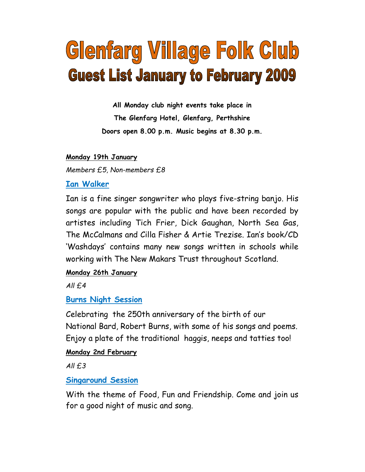# Glenfarg Village Folk Club **Guest List January to February 2009**

All Monday club night events take place in The Glenfarg Hotel, Glenfarg, Perthshire Doors open 8.00 p.m. Music begins at 8.30 p.m.

#### Monday 19th January

Members £5, Non-members £8

## Ian Walker

Ian is a fine singer songwriter who plays five-string banjo. His songs are popular with the public and have been recorded by artistes including Tich Frier, Dick Gaughan, North Sea Gas, The McCalmans and Cilla Fisher & Artie Trezise. Ian's book/CD 'Washdays' contains many new songs written in schools while working with The New Makars Trust throughout Scotland.

# Monday 26th January

 $All f.4$ 

# Burns Night Session

Celebrating the 250th anniversary of the birth of our National Bard, Robert Burns, with some of his songs and poems. Enjoy a plate of the traditional haggis, neeps and tatties too!

### Monday 2nd February

 $All f.3$ 

# Singaround Session

With the theme of Food, Fun and Friendship. Come and join us for a good night of music and song.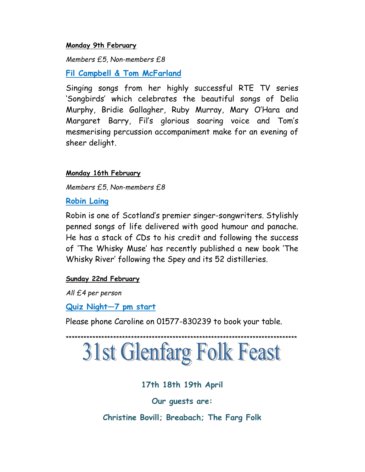#### Monday 9th February

Members £5, Non-members £8

Fil Campbell & Tom McFarland

Singing songs from her highly successful RTE TV series 'Songbirds' which celebrates the beautiful songs of Delia Murphy, Bridie Gallagher, Ruby Murray, Mary O'Hara and Margaret Barry, Fil's glorious soaring voice and Tom's mesmerising percussion accompaniment make for an evening of sheer delight.

#### Monday 16th February

Members £5, Non-members £8

Robin Laing

Robin is one of Scotland's premier singer-songwriters. Stylishly penned songs of life delivered with good humour and panache. He has a stack of CDs to his credit and following the success of 'The Whisky Muse' has recently published a new book 'The Whisky River' following the Spey and its 52 distilleries.

#### Sunday 22nd February

All £4 per person

Quiz Night—7 pm start

Please phone Caroline on 01577-830239 to book your table.

# \*\*\*\*\*\*\*\*\*\*\*\*\*\*\*\*\*\*\*\*\*\*\*\*\*\*\*\*\*\*\*\*\*\*\*\*\*\*\*\*\*\*\*\*\*\*\*\*\*\*\*\*\*\*\*\*\*\*\*\*\*\*\*\*\*\*\*\*\*\*\*\*\*\*\*\*\*\* **31st Glenfarg Folk Feast**

# 17th 18th 19th April

Our guests are:

Christine Bovill; Breabach; The Farg Folk